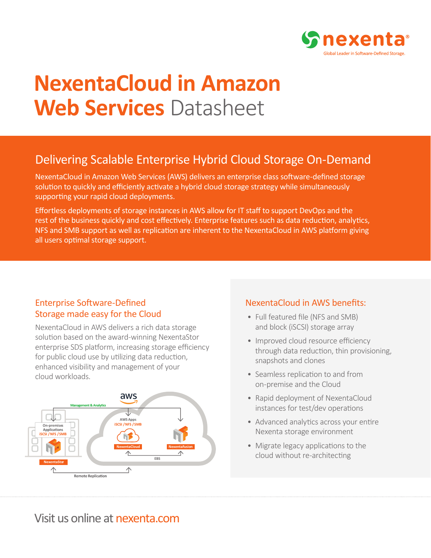

# **NexentaCloud in Amazon Web Services** Datasheet

## Delivering Scalable Enterprise Hybrid Cloud Storage On-Demand

NexentaCloud in Amazon Web Services (AWS) delivers an enterprise class software-defined storage solution to quickly and efficiently activate a hybrid cloud storage strategy while simultaneously supporting your rapid cloud deployments.

Effortless deployments of storage instances in AWS allow for IT staff to support DevOps and the rest of the business quickly and cost effectively. Enterprise features such as data reduction, analytics, NFS and SMB support as well as replication are inherent to the NexentaCloud in AWS platform giving all users optimal storage support.

## Enterprise Software-Defined Storage made easy for the Cloud

NexentaCloud in AWS delivers a rich data storage solution based on the award-winning NexentaStor enterprise SDS platform, increasing storage efficiency for public cloud use by utilizing data reduction, enhanced visibility and management of your cloud workloads.



## NexentaCloud in AWS benefits:

- Full featured file (NFS and SMB) and block (iSCSI) storage array
- Improved cloud resource efficiency through data reduction, thin provisioning, snapshots and clones
- Seamless replication to and from on-premise and the Cloud
- Rapid deployment of NexentaCloud instances for test/dev operations
- Advanced analytics across your entire Nexenta storage environment
- Migrate legacy applications to the cloud without re-architecting

Visit us online at nexenta.com